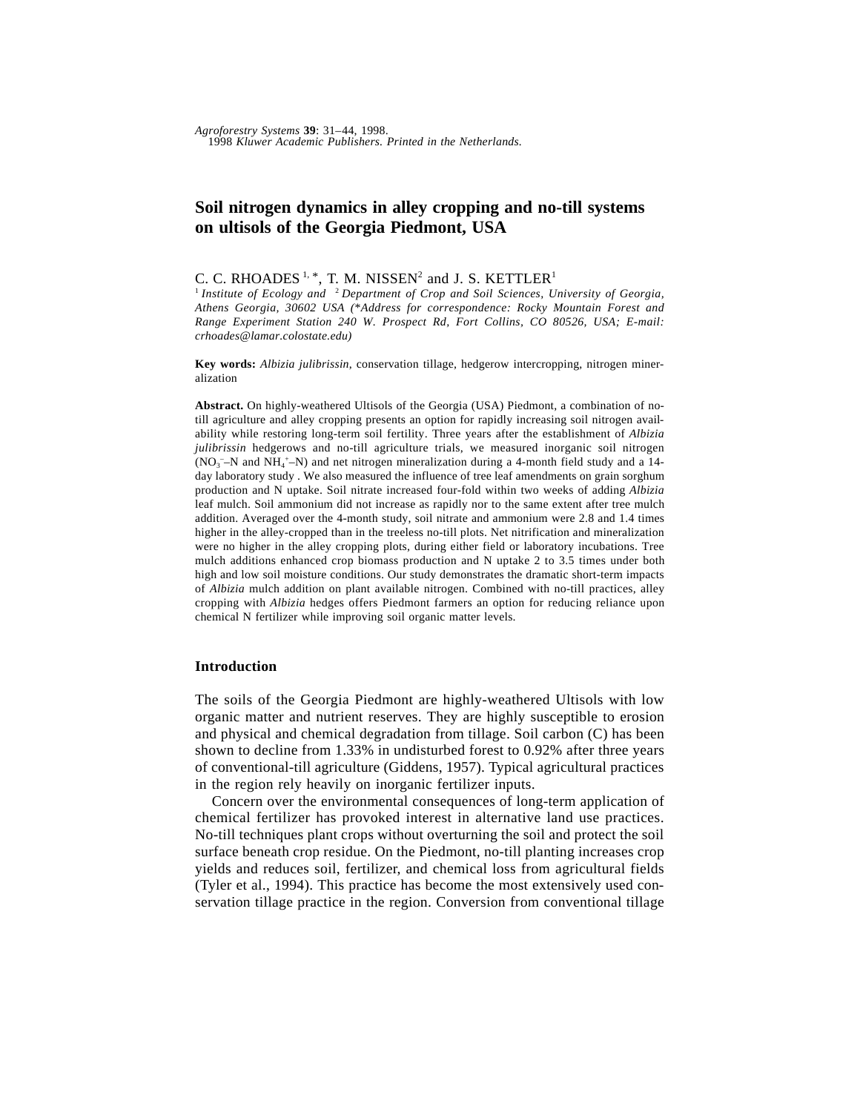# **Soil nitrogen dynamics in alley cropping and no-till systems on ultisols of the Georgia Piedmont, USA**

# C. C. RHOADES<sup>1, \*</sup>, T. M. NISSEN<sup>2</sup> and J. S. KETTLER<sup>1</sup>

<sup>1</sup> Institute of Ecology and <sup>2</sup> Department of Crop and Soil Sciences, University of Georgia, *Athens Georgia, 30602 USA (*\**Address for correspondence: Rocky Mountain Forest and Range Experiment Station 240 W. Prospect Rd, Fort Collins, CO 80526, USA; E-mail: crhoades@lamar.colostate.edu)*

**Key words:** *Albizia julibrissin*, conservation tillage, hedgerow intercropping, nitrogen mineralization

**Abstract.** On highly-weathered Ultisols of the Georgia (USA) Piedmont, a combination of notill agriculture and alley cropping presents an option for rapidly increasing soil nitrogen availability while restoring long-term soil fertility. Three years after the establishment of *Albizia julibrissin* hedgerows and no-till agriculture trials, we measured inorganic soil nitrogen  $(NO<sub>3</sub> - N$  and  $NH<sub>4</sub> + N)$  and net nitrogen mineralization during a 4-month field study and a 14day laboratory study . We also measured the influence of tree leaf amendments on grain sorghum production and N uptake. Soil nitrate increased four-fold within two weeks of adding *Albizia* leaf mulch. Soil ammonium did not increase as rapidly nor to the same extent after tree mulch addition. Averaged over the 4-month study, soil nitrate and ammonium were 2.8 and 1.4 times higher in the alley-cropped than in the treeless no-till plots. Net nitrification and mineralization were no higher in the alley cropping plots, during either field or laboratory incubations. Tree mulch additions enhanced crop biomass production and N uptake 2 to 3.5 times under both high and low soil moisture conditions. Our study demonstrates the dramatic short-term impacts of *Albizia* mulch addition on plant available nitrogen. Combined with no-till practices, alley cropping with *Albizia* hedges offers Piedmont farmers an option for reducing reliance upon chemical N fertilizer while improving soil organic matter levels.

#### **Introduction**

The soils of the Georgia Piedmont are highly-weathered Ultisols with low organic matter and nutrient reserves. They are highly susceptible to erosion and physical and chemical degradation from tillage. Soil carbon (C) has been shown to decline from 1.33% in undisturbed forest to 0.92% after three years of conventional-till agriculture (Giddens, 1957). Typical agricultural practices in the region rely heavily on inorganic fertilizer inputs.

Concern over the environmental consequences of long-term application of chemical fertilizer has provoked interest in alternative land use practices. No-till techniques plant crops without overturning the soil and protect the soil surface beneath crop residue. On the Piedmont, no-till planting increases crop yields and reduces soil, fertilizer, and chemical loss from agricultural fields (Tyler et al., 1994). This practice has become the most extensively used conservation tillage practice in the region. Conversion from conventional tillage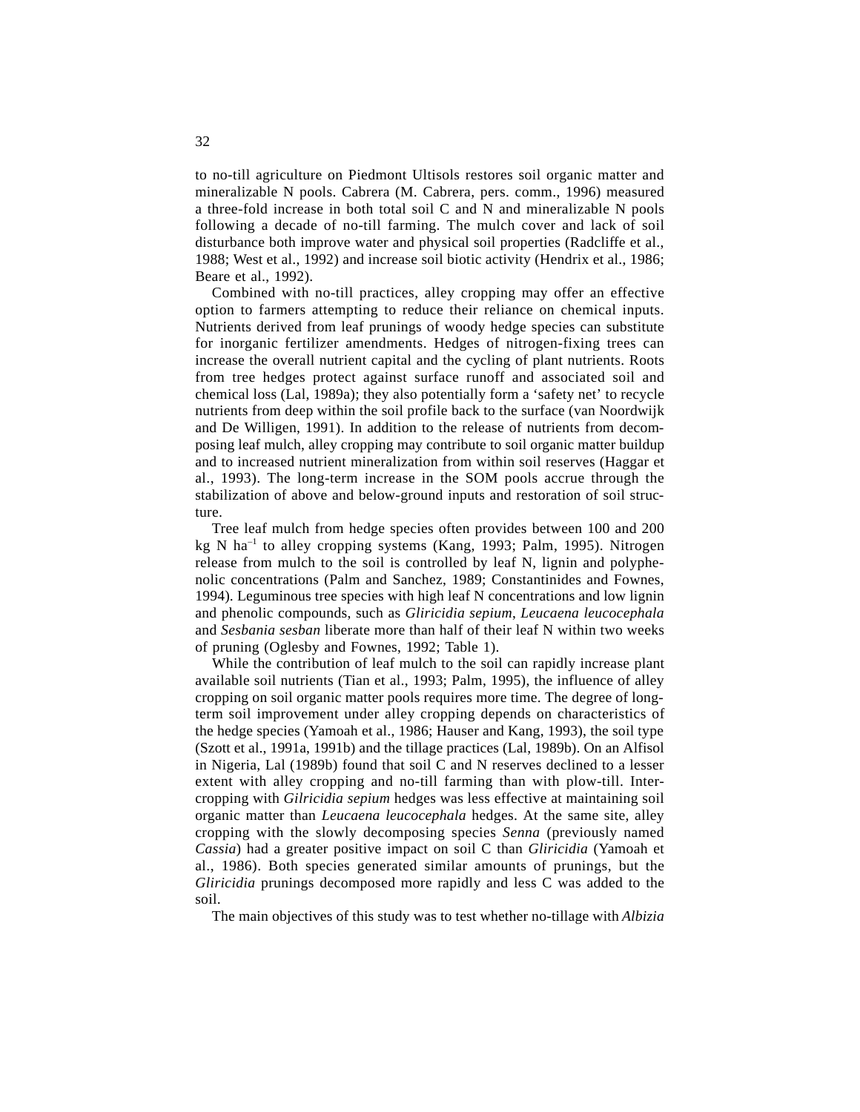to no-till agriculture on Piedmont Ultisols restores soil organic matter and mineralizable N pools. Cabrera (M. Cabrera, pers. comm., 1996) measured a three-fold increase in both total soil C and N and mineralizable N pools following a decade of no-till farming. The mulch cover and lack of soil disturbance both improve water and physical soil properties (Radcliffe et al., 1988; West et al., 1992) and increase soil biotic activity (Hendrix et al., 1986; Beare et al., 1992).

Combined with no-till practices, alley cropping may offer an effective option to farmers attempting to reduce their reliance on chemical inputs. Nutrients derived from leaf prunings of woody hedge species can substitute for inorganic fertilizer amendments. Hedges of nitrogen-fixing trees can increase the overall nutrient capital and the cycling of plant nutrients. Roots from tree hedges protect against surface runoff and associated soil and chemical loss (Lal, 1989a); they also potentially form a 'safety net' to recycle nutrients from deep within the soil profile back to the surface (van Noordwijk and De Willigen, 1991). In addition to the release of nutrients from decomposing leaf mulch, alley cropping may contribute to soil organic matter buildup and to increased nutrient mineralization from within soil reserves (Haggar et al., 1993). The long-term increase in the SOM pools accrue through the stabilization of above and below-ground inputs and restoration of soil structure.

Tree leaf mulch from hedge species often provides between 100 and 200 kg N ha<sup>-1</sup> to alley cropping systems (Kang, 1993; Palm, 1995). Nitrogen release from mulch to the soil is controlled by leaf N, lignin and polyphenolic concentrations (Palm and Sanchez, 1989; Constantinides and Fownes, 1994). Leguminous tree species with high leaf N concentrations and low lignin and phenolic compounds, such as *Gliricidia sepium*, *Leucaena leucocephala* and *Sesbania sesban* liberate more than half of their leaf N within two weeks of pruning (Oglesby and Fownes, 1992; Table 1).

While the contribution of leaf mulch to the soil can rapidly increase plant available soil nutrients (Tian et al., 1993; Palm, 1995), the influence of alley cropping on soil organic matter pools requires more time. The degree of longterm soil improvement under alley cropping depends on characteristics of the hedge species (Yamoah et al., 1986; Hauser and Kang, 1993), the soil type (Szott et al., 1991a, 1991b) and the tillage practices (Lal, 1989b). On an Alfisol in Nigeria, Lal (1989b) found that soil C and N reserves declined to a lesser extent with alley cropping and no-till farming than with plow-till. Intercropping with *Gilricidia sepium* hedges was less effective at maintaining soil organic matter than *Leucaena leucocephala* hedges. At the same site, alley cropping with the slowly decomposing species *Senna* (previously named *Cassia*) had a greater positive impact on soil C than *Gliricidia* (Yamoah et al., 1986). Both species generated similar amounts of prunings, but the *Gliricidia* prunings decomposed more rapidly and less C was added to the soil.

The main objectives of this study was to test whether no-tillage with *Albizia*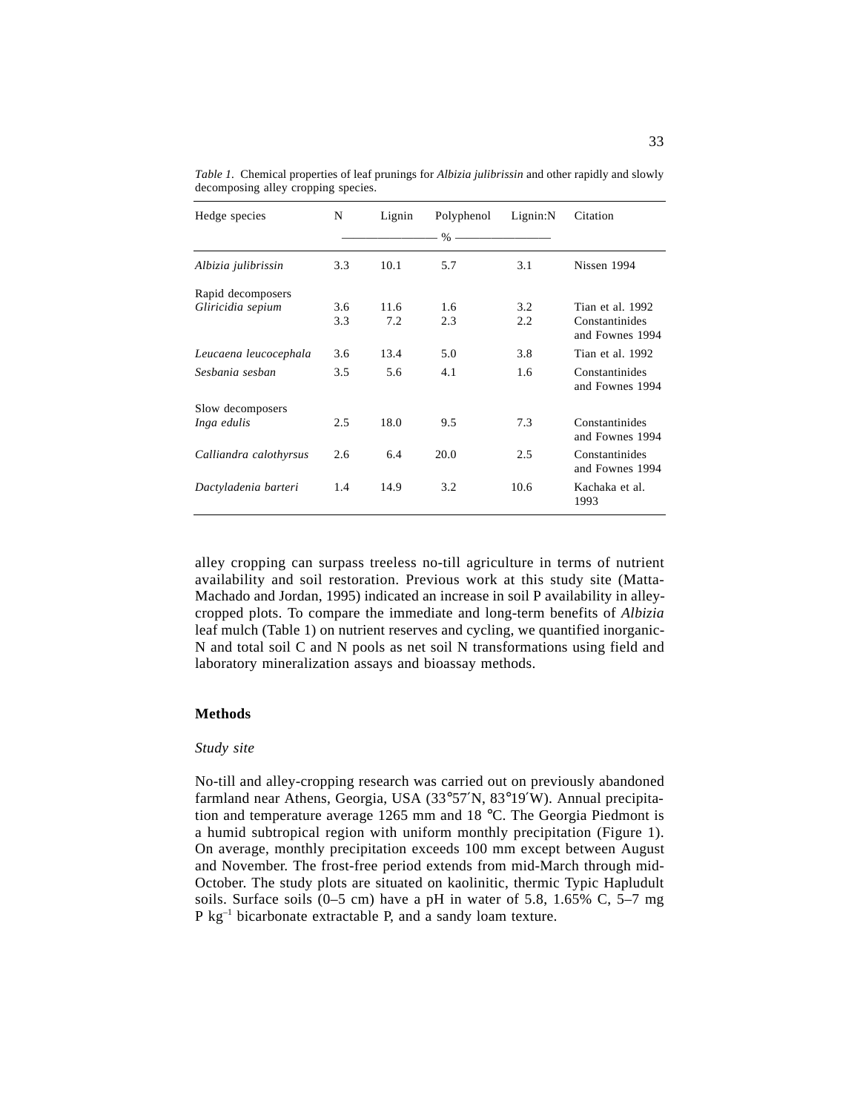| Hedge species          | N   | Lignin | Polyphenol | Lignin:N | Citation                          |
|------------------------|-----|--------|------------|----------|-----------------------------------|
|                        |     |        |            |          |                                   |
| Albizia julibrissin    | 3.3 | 10.1   | 5.7        | 3.1      | Nissen 1994                       |
| Rapid decomposers      |     |        |            |          |                                   |
| Gliricidia sepium      | 3.6 | 11.6   | 1.6        | 3.2      | Tian et al. 1992                  |
|                        | 3.3 | 7.2    | 2.3        | 2.2      | Constantinides<br>and Fownes 1994 |
| Leucaena leucocephala  | 3.6 | 13.4   | 5.0        | 3.8      | Tian et al. 1992                  |
| Sesbania sesban        | 3.5 | 5.6    | 4.1        | 1.6      | Constantinides<br>and Fownes 1994 |
| Slow decomposers       |     |        |            |          |                                   |
| Inga edulis            | 2.5 | 18.0   | 9.5        | 7.3      | Constantinides<br>and Fownes 1994 |
| Calliandra calothyrsus | 2.6 | 6.4    | 20.0       | 2.5      | Constantinides<br>and Fownes 1994 |
| Dactyladenia barteri   | 1.4 | 14.9   | 3.2        | 10.6     | Kachaka et al.<br>1993            |

*Table 1.* Chemical properties of leaf prunings for *Albizia julibrissin* and other rapidly and slowly decomposing alley cropping species.

alley cropping can surpass treeless no-till agriculture in terms of nutrient availability and soil restoration. Previous work at this study site (Matta-Machado and Jordan, 1995) indicated an increase in soil P availability in alleycropped plots. To compare the immediate and long-term benefits of *Albizia* leaf mulch (Table 1) on nutrient reserves and cycling, we quantified inorganic-N and total soil C and N pools as net soil N transformations using field and laboratory mineralization assays and bioassay methods.

## **Methods**

### *Study site*

No-till and alley-cropping research was carried out on previously abandoned farmland near Athens, Georgia, USA (33°57′N, 83°19′W). Annual precipitation and temperature average 1265 mm and 18 °C. The Georgia Piedmont is a humid subtropical region with uniform monthly precipitation (Figure 1). On average, monthly precipitation exceeds 100 mm except between August and November. The frost-free period extends from mid-March through mid-October. The study plots are situated on kaolinitic, thermic Typic Hapludult soils. Surface soils  $(0-5 \text{ cm})$  have a pH in water of 5.8, 1.65% C, 5–7 mg  $P$  kg<sup>-1</sup> bicarbonate extractable P, and a sandy loam texture.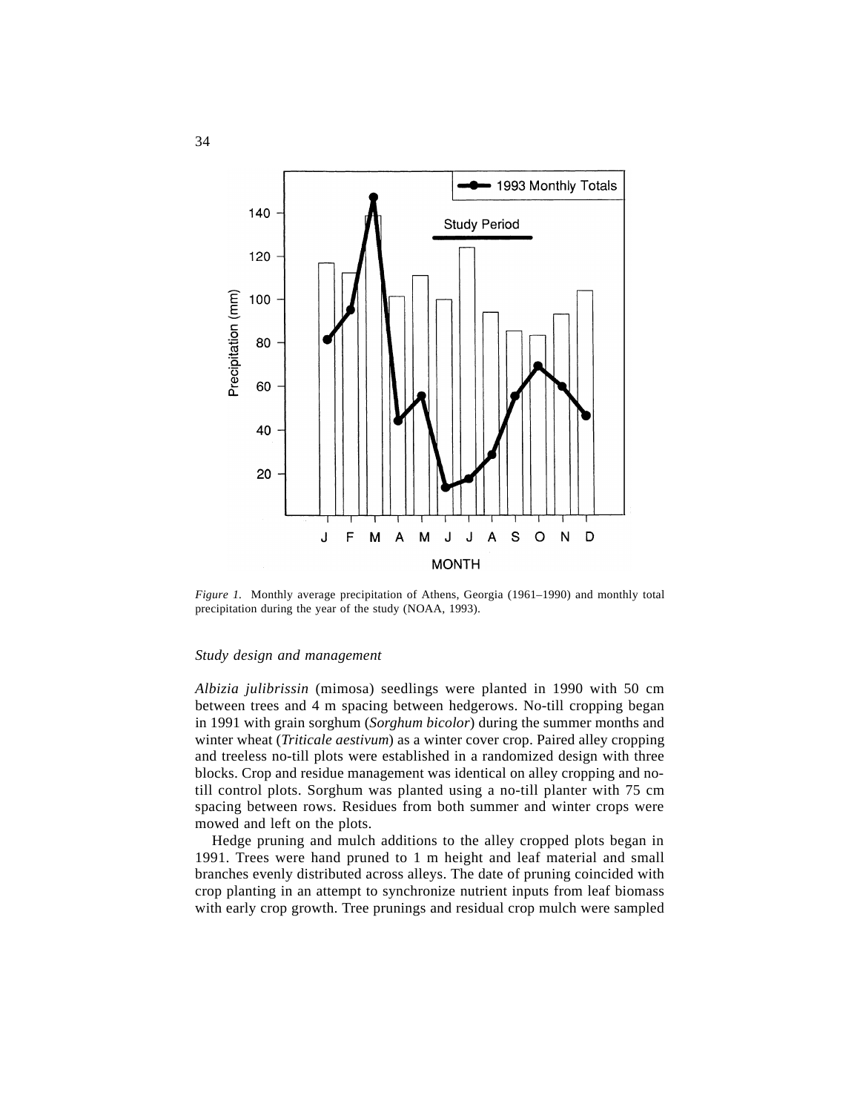

*Figure 1.* Monthly average precipitation of Athens, Georgia (1961–1990) and monthly total precipitation during the year of the study (NOAA, 1993).

### *Study design and management*

*Albizia julibrissin* (mimosa) seedlings were planted in 1990 with 50 cm between trees and 4 m spacing between hedgerows. No-till cropping began in 1991 with grain sorghum (*Sorghum bicolor*) during the summer months and winter wheat (*Triticale aestivum*) as a winter cover crop. Paired alley cropping and treeless no-till plots were established in a randomized design with three blocks. Crop and residue management was identical on alley cropping and notill control plots. Sorghum was planted using a no-till planter with 75 cm spacing between rows. Residues from both summer and winter crops were mowed and left on the plots.

Hedge pruning and mulch additions to the alley cropped plots began in 1991. Trees were hand pruned to 1 m height and leaf material and small branches evenly distributed across alleys. The date of pruning coincided with crop planting in an attempt to synchronize nutrient inputs from leaf biomass with early crop growth. Tree prunings and residual crop mulch were sampled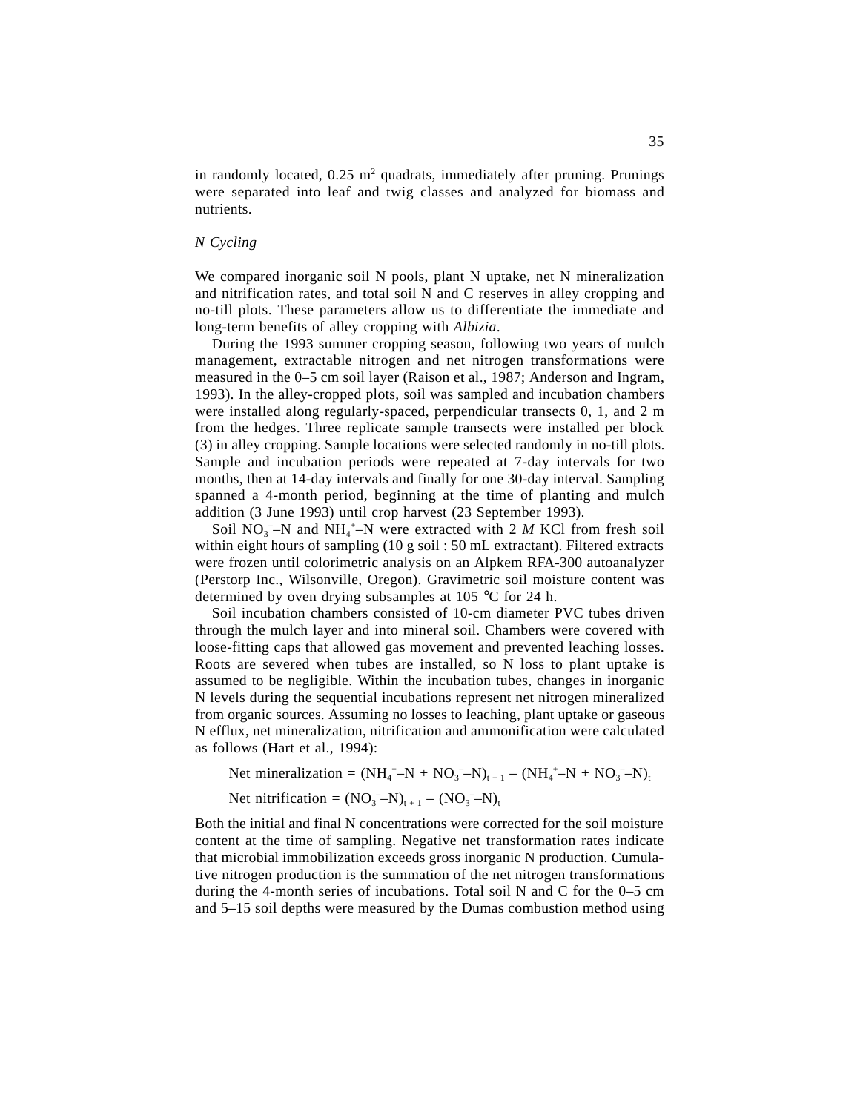in randomly located,  $0.25$  m<sup>2</sup> quadrats, immediately after pruning. Prunings were separated into leaf and twig classes and analyzed for biomass and nutrients.

## *N Cycling*

We compared inorganic soil N pools, plant N uptake, net N mineralization and nitrification rates, and total soil N and C reserves in alley cropping and no-till plots. These parameters allow us to differentiate the immediate and long-term benefits of alley cropping with *Albizia*.

During the 1993 summer cropping season, following two years of mulch management, extractable nitrogen and net nitrogen transformations were measured in the 0–5 cm soil layer (Raison et al., 1987; Anderson and Ingram, 1993). In the alley-cropped plots, soil was sampled and incubation chambers were installed along regularly-spaced, perpendicular transects 0, 1, and 2 m from the hedges. Three replicate sample transects were installed per block (3) in alley cropping. Sample locations were selected randomly in no-till plots. Sample and incubation periods were repeated at 7-day intervals for two months, then at 14-day intervals and finally for one 30-day interval. Sampling spanned a 4-month period, beginning at the time of planting and mulch addition (3 June 1993) until crop harvest (23 September 1993).

Soil  $NO_3^-$ –N and  $NH_4^+$ –N were extracted with 2 *M* KCl from fresh soil within eight hours of sampling (10 g soil : 50 mL extractant). Filtered extracts were frozen until colorimetric analysis on an Alpkem RFA-300 autoanalyzer (Perstorp Inc., Wilsonville, Oregon). Gravimetric soil moisture content was determined by oven drying subsamples at 105 °C for 24 h.

Soil incubation chambers consisted of 10-cm diameter PVC tubes driven through the mulch layer and into mineral soil. Chambers were covered with loose-fitting caps that allowed gas movement and prevented leaching losses. Roots are severed when tubes are installed, so N loss to plant uptake is assumed to be negligible. Within the incubation tubes, changes in inorganic N levels during the sequential incubations represent net nitrogen mineralized from organic sources. Assuming no losses to leaching, plant uptake or gaseous N efflux, net mineralization, nitrification and ammonification were calculated as follows (Hart et al., 1994):

Net mineralization =  $(NH_4^+ - N + NO_3^- - N)_{t+1} - (NH_4^+ - N + NO_3^- - N)_{t+1}$ 

Net nitrification =  $(NO<sub>3</sub>^- - N)<sub>t+1</sub> - (NO<sub>3</sub>^- - N)<sub>t</sub>$ 

Both the initial and final N concentrations were corrected for the soil moisture content at the time of sampling. Negative net transformation rates indicate that microbial immobilization exceeds gross inorganic N production. Cumulative nitrogen production is the summation of the net nitrogen transformations during the 4-month series of incubations. Total soil N and C for the 0–5 cm and 5–15 soil depths were measured by the Dumas combustion method using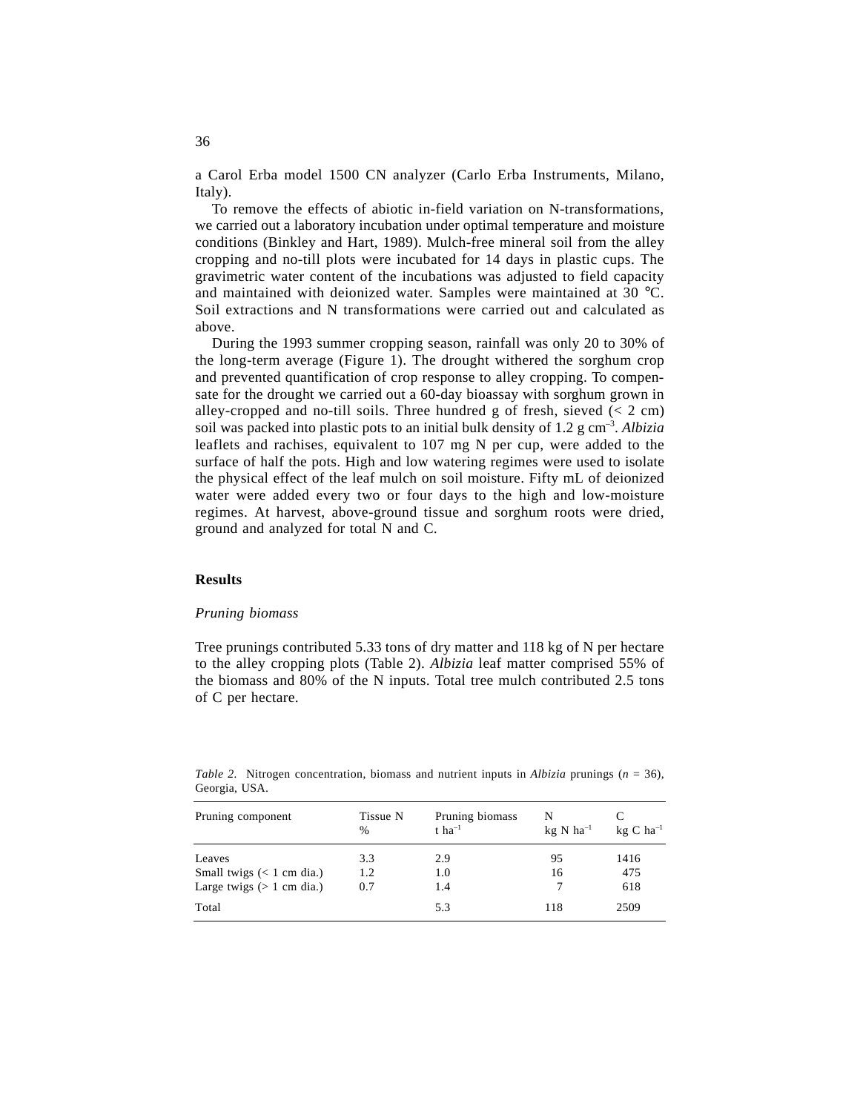a Carol Erba model 1500 CN analyzer (Carlo Erba Instruments, Milano, Italy).

To remove the effects of abiotic in-field variation on N-transformations, we carried out a laboratory incubation under optimal temperature and moisture conditions (Binkley and Hart, 1989). Mulch-free mineral soil from the alley cropping and no-till plots were incubated for 14 days in plastic cups. The gravimetric water content of the incubations was adjusted to field capacity and maintained with deionized water. Samples were maintained at 30 °C. Soil extractions and N transformations were carried out and calculated as above.

During the 1993 summer cropping season, rainfall was only 20 to 30% of the long-term average (Figure 1). The drought withered the sorghum crop and prevented quantification of crop response to alley cropping. To compensate for the drought we carried out a 60-day bioassay with sorghum grown in alley-cropped and no-till soils. Three hundred g of fresh, sieved  $(< 2 \text{ cm})$ soil was packed into plastic pots to an initial bulk density of 1.2 g cm–3. *Albizia* leaflets and rachises, equivalent to 107 mg N per cup, were added to the surface of half the pots. High and low watering regimes were used to isolate the physical effect of the leaf mulch on soil moisture. Fifty mL of deionized water were added every two or four days to the high and low-moisture regimes. At harvest, above-ground tissue and sorghum roots were dried, ground and analyzed for total N and C.

## **Results**

### *Pruning biomass*

Tree prunings contributed 5.33 tons of dry matter and 118 kg of N per hectare to the alley cropping plots (Table 2). *Albizia* leaf matter comprised 55% of the biomass and 80% of the N inputs. Total tree mulch contributed 2.5 tons of C per hectare.

| Pruning component                     | Tissue N<br>$\frac{0}{0}$ | Pruning biomass<br>$t$ ha <sup>-1</sup> | N<br>$kg \text{ N}$ ha <sup>-1</sup> | $kg \, C \, ha^{-1}$ |
|---------------------------------------|---------------------------|-----------------------------------------|--------------------------------------|----------------------|
| Leaves<br>Small twigs $(< 1$ cm dia.) | 3.3<br>1.2                | 2.9<br>1.0                              | 95<br>16                             | 1416<br>475          |
| Large twigs $($ 1 cm dia.)            | 0.7                       | 1.4                                     |                                      | 618                  |
| Total                                 |                           | 5.3                                     | 118                                  | 2509                 |

*Table 2.* Nitrogen concentration, biomass and nutrient inputs in *Albizia* prunings (*n* = 36), Georgia, USA.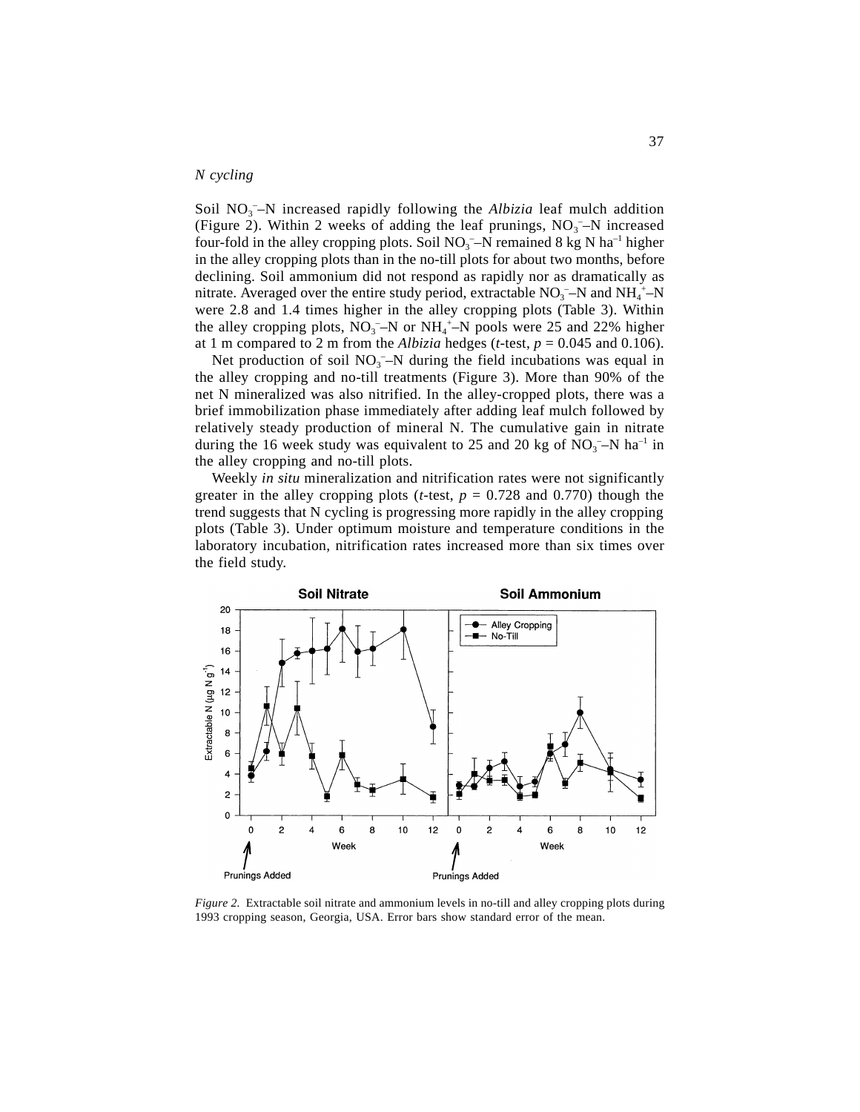## *N cycling*

Soil NO<sub>3</sub><sup>-</sup>-N increased rapidly following the *Albizia* leaf mulch addition (Figure 2). Within 2 weeks of adding the leaf prunings,  $NO<sub>3</sub> - N$  increased four-fold in the alley cropping plots. Soil  $NO_3$ <sup>-</sup>-N remained 8 kg N ha<sup>-1</sup> higher in the alley cropping plots than in the no-till plots for about two months, before declining. Soil ammonium did not respond as rapidly nor as dramatically as nitrate. Averaged over the entire study period, extractable  $NO<sub>3</sub><sup>-</sup>N$  and  $NH<sub>4</sub><sup>+</sup>-N$ were 2.8 and 1.4 times higher in the alley cropping plots (Table 3). Within the alley cropping plots,  $NO_3^-$ -N or  $NH_4^+$ -N pools were 25 and 22% higher at 1 m compared to 2 m from the *Albizia* hedges (*t*-test,  $p = 0.045$  and 0.106).

Net production of soil  $NO<sub>3</sub> - N$  during the field incubations was equal in the alley cropping and no-till treatments (Figure 3). More than 90% of the net N mineralized was also nitrified. In the alley-cropped plots, there was a brief immobilization phase immediately after adding leaf mulch followed by relatively steady production of mineral N. The cumulative gain in nitrate during the 16 week study was equivalent to 25 and 20 kg of  $NO<sub>3</sub> - N$  ha<sup>-1</sup> in the alley cropping and no-till plots.

Weekly *in situ* mineralization and nitrification rates were not significantly greater in the alley cropping plots (*t*-test,  $p = 0.728$  and 0.770) though the trend suggests that N cycling is progressing more rapidly in the alley cropping plots (Table 3). Under optimum moisture and temperature conditions in the laboratory incubation, nitrification rates increased more than six times over the field study.



*Figure 2.* Extractable soil nitrate and ammonium levels in no-till and alley cropping plots during 1993 cropping season, Georgia, USA. Error bars show standard error of the mean.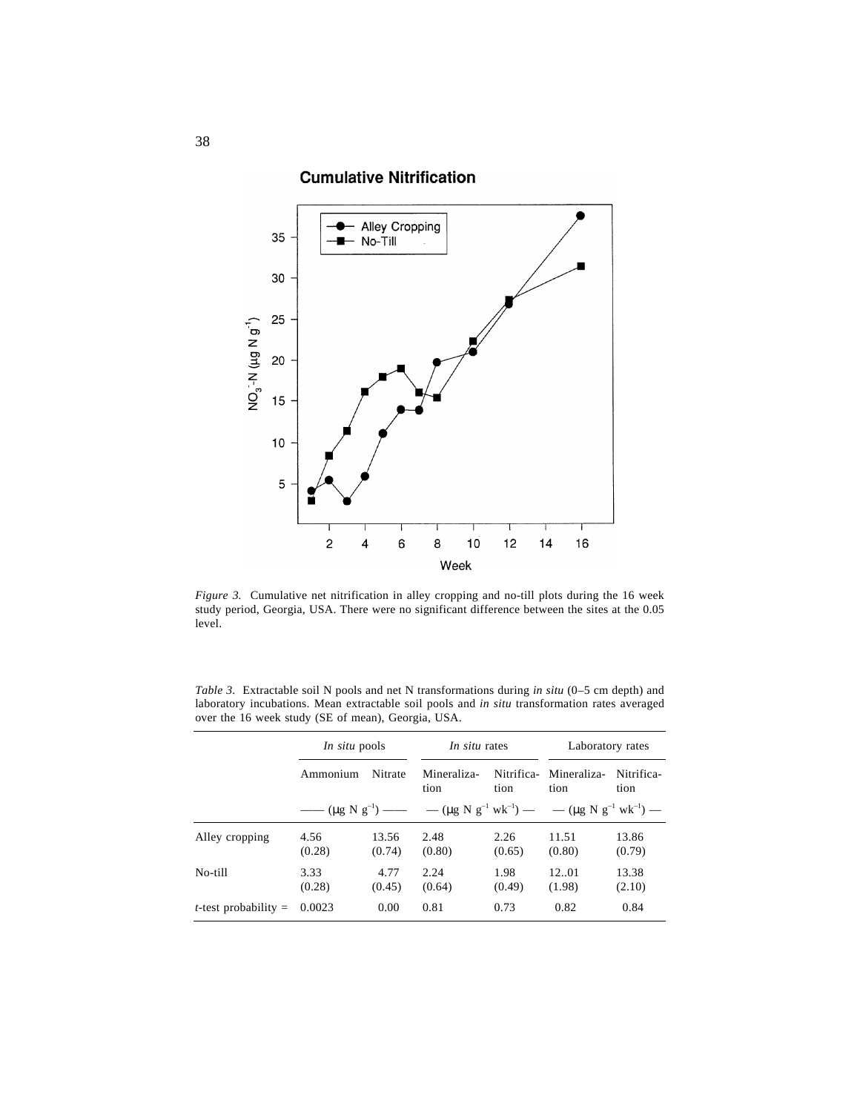# **Cumulative Nitrification**



*Figure 3.* Cumulative net nitrification in alley cropping and no-till plots during the 16 week study period, Georgia, USA. There were no significant difference between the sites at the 0.05 level.

*Table 3.* Extractable soil N pools and net N transformations during *in situ* (0–5 cm depth) and laboratory incubations. Mean extractable soil pools and *in situ* transformation rates averaged over the 16 week study (SE of mean), Georgia, USA.

|                                | <i>In situ</i> pools                                           |                 | In situ rates       |                    | Laboratory rates                                               |                    |
|--------------------------------|----------------------------------------------------------------|-----------------|---------------------|--------------------|----------------------------------------------------------------|--------------------|
|                                | Ammonium                                                       | Nitrate         | Mineraliza-<br>tion | Nitrifica-<br>tion | Mineraliza-<br>tion                                            | Nitrifica-<br>tion |
|                                | $-\left(\mu g N g^{-1}\right)$ $-\left(-\mu g N g^{-1}\right)$ |                 |                     |                    | $-(\mu g N g^{-1} w k^{-1})$ $ -(\mu g N g^{-1} w k^{-1})$ $-$ |                    |
| Alley cropping                 | 4.56<br>(0.28)                                                 | 13.56<br>(0.74) | 2.48<br>(0.80)      | 2.26<br>(0.65)     | 11.51<br>(0.80)                                                | 13.86<br>(0.79)    |
| No-till                        | 3.33<br>(0.28)                                                 | 4.77<br>(0.45)  | 2.24<br>(0.64)      | 1.98<br>(0.49)     | 12.01<br>(1.98)                                                | 13.38<br>(2.10)    |
| <i>t</i> -test probability $=$ | 0.0023                                                         | 0.00            | 0.81                | 0.73               | 0.82                                                           | 0.84               |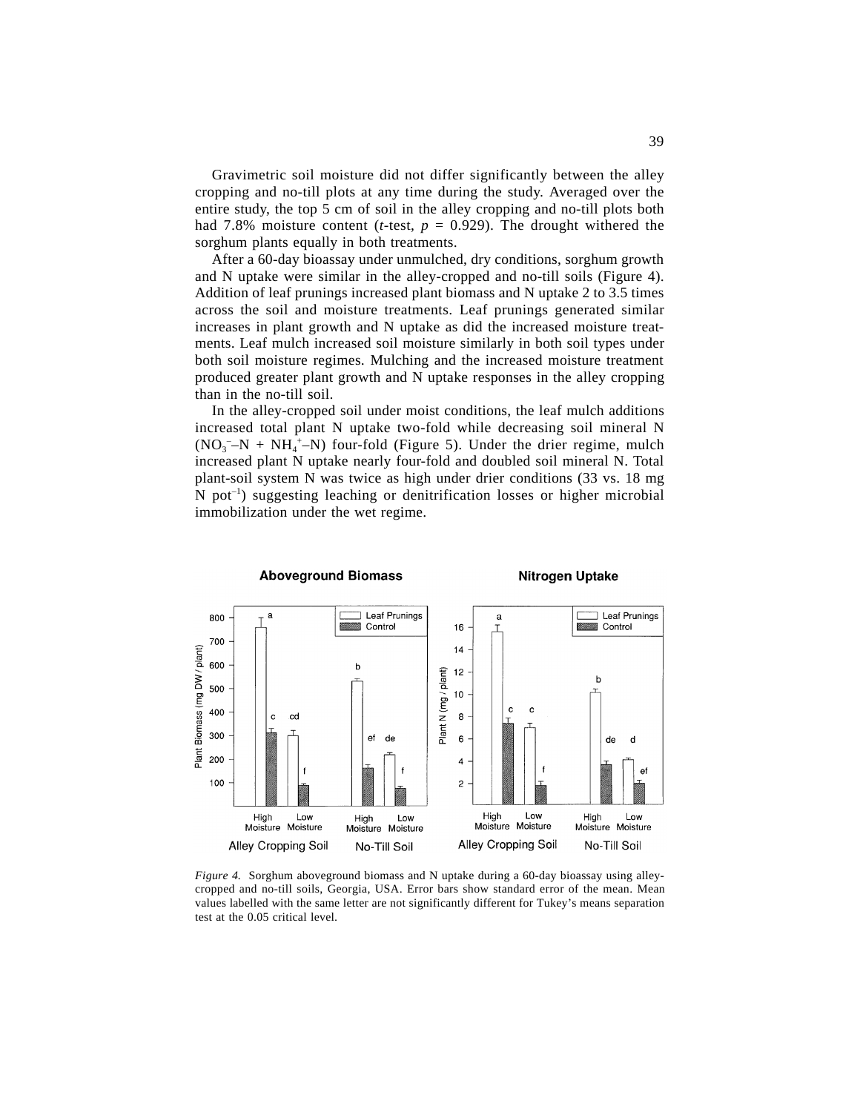Gravimetric soil moisture did not differ significantly between the alley cropping and no-till plots at any time during the study. Averaged over the entire study, the top 5 cm of soil in the alley cropping and no-till plots both had 7.8% moisture content (*t*-test,  $p = 0.929$ ). The drought withered the sorghum plants equally in both treatments.

After a 60-day bioassay under unmulched, dry conditions, sorghum growth and N uptake were similar in the alley-cropped and no-till soils (Figure 4). Addition of leaf prunings increased plant biomass and N uptake 2 to 3.5 times across the soil and moisture treatments. Leaf prunings generated similar increases in plant growth and N uptake as did the increased moisture treatments. Leaf mulch increased soil moisture similarly in both soil types under both soil moisture regimes. Mulching and the increased moisture treatment produced greater plant growth and N uptake responses in the alley cropping than in the no-till soil.

In the alley-cropped soil under moist conditions, the leaf mulch additions increased total plant N uptake two-fold while decreasing soil mineral N  $(NO<sub>3</sub><sup>-</sup>-N + NH<sub>4</sub><sup>+</sup>-N)$  four-fold (Figure 5). Under the drier regime, mulch increased plant N uptake nearly four-fold and doubled soil mineral N. Total plant-soil system N was twice as high under drier conditions (33 vs. 18 mg N pot<sup>-1</sup>) suggesting leaching or denitrification losses or higher microbial immobilization under the wet regime.



*Figure 4.* Sorghum aboveground biomass and N uptake during a 60-day bioassay using alleycropped and no-till soils, Georgia, USA. Error bars show standard error of the mean. Mean values labelled with the same letter are not significantly different for Tukey's means separation test at the 0.05 critical level.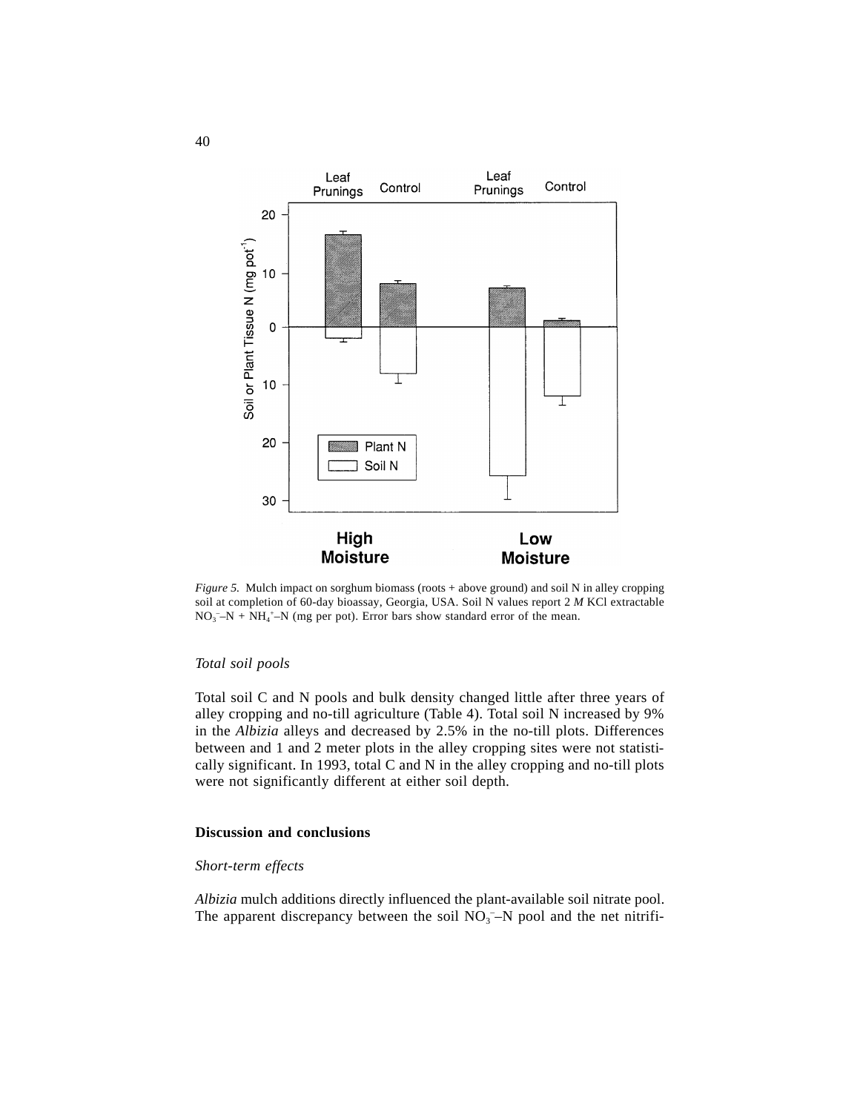

*Figure 5.* Mulch impact on sorghum biomass (roots + above ground) and soil N in alley cropping soil at completion of 60-day bioassay, Georgia, USA. Soil N values report 2 *M* KCl extractable  $NO_3^- - N + NH_4^+ - N$  (mg per pot). Error bars show standard error of the mean.

# *Total soil pools*

Total soil C and N pools and bulk density changed little after three years of alley cropping and no-till agriculture (Table 4). Total soil N increased by 9% in the *Albizia* alleys and decreased by 2.5% in the no-till plots. Differences between and 1 and 2 meter plots in the alley cropping sites were not statistically significant. In 1993, total C and N in the alley cropping and no-till plots were not significantly different at either soil depth.

# **Discussion and conclusions**

# *Short-term effects*

*Albizia* mulch additions directly influenced the plant-available soil nitrate pool. The apparent discrepancy between the soil  $NO<sub>3</sub><sup>-</sup>N$  pool and the net nitrifi-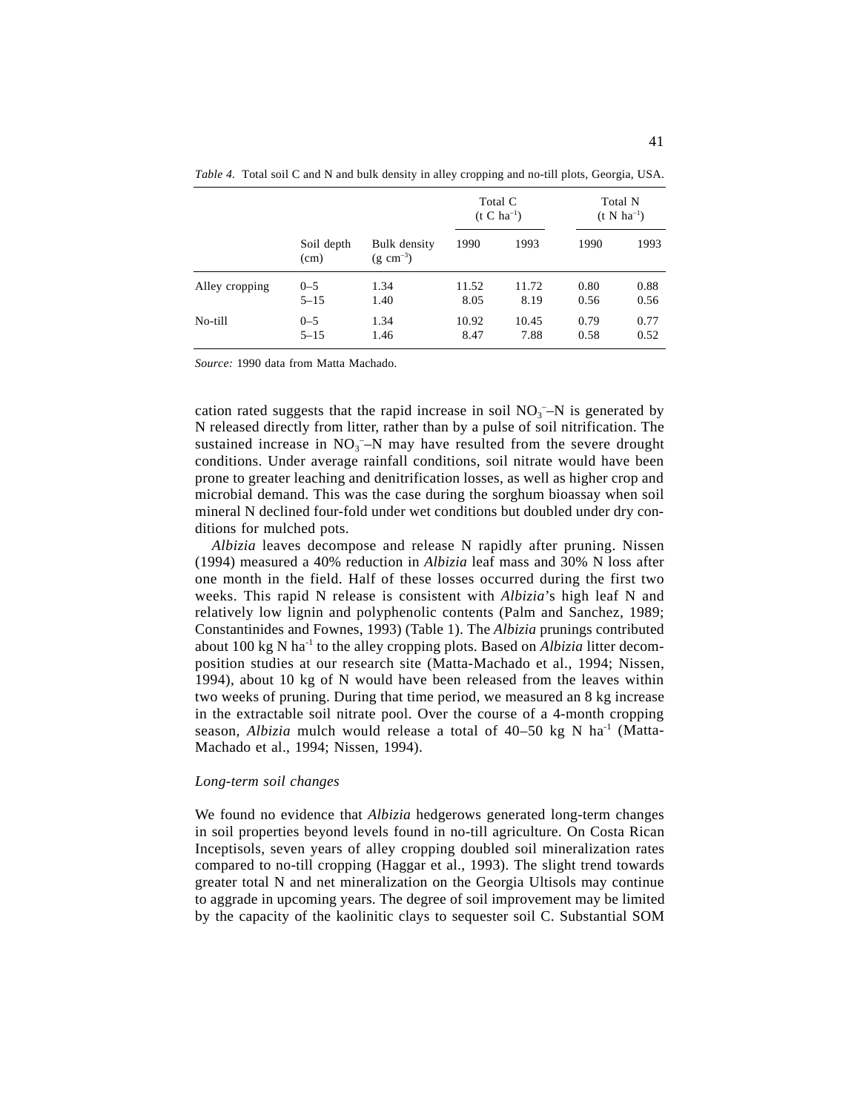|                | Soil depth<br>(cm) | <b>Bulk</b> density<br>$(g \text{ cm}^{-3})$ | Total C<br>$(t C ha^{-1})$ |       | Total N<br>$(t N ha^{-1})$ |      |
|----------------|--------------------|----------------------------------------------|----------------------------|-------|----------------------------|------|
|                |                    |                                              | 1990                       | 1993  | 1990                       | 1993 |
| Alley cropping | $0 - 5$            | 1.34                                         | 11.52                      | 11.72 | 0.80                       | 0.88 |
|                | $5 - 15$           | 1.40                                         | 8.05                       | 8.19  | 0.56                       | 0.56 |
| No-till        | $0 - 5$            | 1.34                                         | 10.92                      | 10.45 | 0.79                       | 0.77 |
|                | $5 - 15$           | 1.46                                         | 8.47                       | 7.88  | 0.58                       | 0.52 |

*Table 4.* Total soil C and N and bulk density in alley cropping and no-till plots, Georgia, USA.

*Source:* 1990 data from Matta Machado.

cation rated suggests that the rapid increase in soil  $NO<sub>3</sub>$ –N is generated by N released directly from litter, rather than by a pulse of soil nitrification. The sustained increase in  $NO<sub>3</sub><sup>-</sup>N$  may have resulted from the severe drought conditions. Under average rainfall conditions, soil nitrate would have been prone to greater leaching and denitrification losses, as well as higher crop and microbial demand. This was the case during the sorghum bioassay when soil mineral N declined four-fold under wet conditions but doubled under dry conditions for mulched pots.

*Albizia* leaves decompose and release N rapidly after pruning. Nissen (1994) measured a 40% reduction in *Albizia* leaf mass and 30% N loss after one month in the field. Half of these losses occurred during the first two weeks. This rapid N release is consistent with *Albizia*'s high leaf N and relatively low lignin and polyphenolic contents (Palm and Sanchez, 1989; Constantinides and Fownes, 1993) (Table 1). The *Albizia* prunings contributed about 100 kg N ha-1 to the alley cropping plots. Based on *Albizia* litter decomposition studies at our research site (Matta-Machado et al., 1994; Nissen, 1994), about 10 kg of N would have been released from the leaves within two weeks of pruning. During that time period, we measured an 8 kg increase in the extractable soil nitrate pool. Over the course of a 4-month cropping season, *Albizia* mulch would release a total of 40–50 kg N ha<sup>-1</sup> (Matta-Machado et al., 1994; Nissen, 1994).

## *Long-term soil changes*

We found no evidence that *Albizia* hedgerows generated long-term changes in soil properties beyond levels found in no-till agriculture. On Costa Rican Inceptisols, seven years of alley cropping doubled soil mineralization rates compared to no-till cropping (Haggar et al., 1993). The slight trend towards greater total N and net mineralization on the Georgia Ultisols may continue to aggrade in upcoming years. The degree of soil improvement may be limited by the capacity of the kaolinitic clays to sequester soil C. Substantial SOM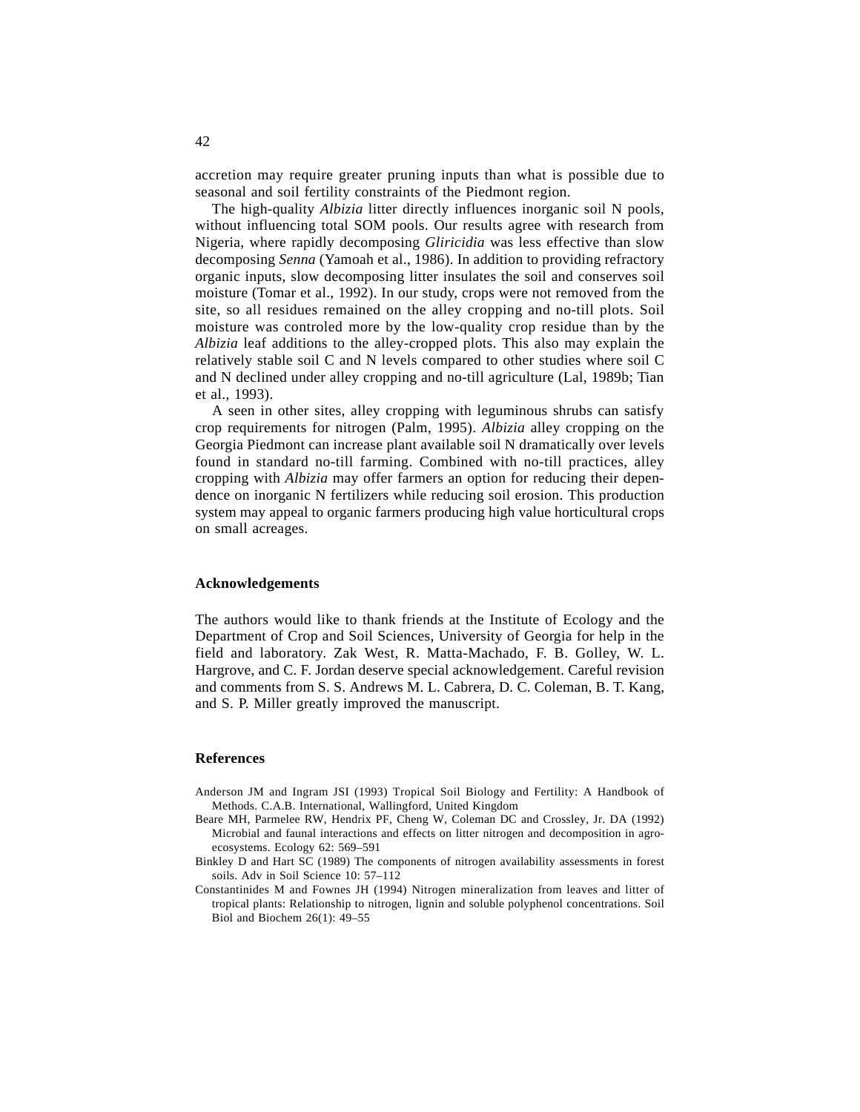accretion may require greater pruning inputs than what is possible due to seasonal and soil fertility constraints of the Piedmont region.

The high-quality *Albizia* litter directly influences inorganic soil N pools, without influencing total SOM pools. Our results agree with research from Nigeria, where rapidly decomposing *Gliricidia* was less effective than slow decomposing *Senna* (Yamoah et al., 1986). In addition to providing refractory organic inputs, slow decomposing litter insulates the soil and conserves soil moisture (Tomar et al., 1992). In our study, crops were not removed from the site, so all residues remained on the alley cropping and no-till plots. Soil moisture was controled more by the low-quality crop residue than by the *Albizia* leaf additions to the alley-cropped plots. This also may explain the relatively stable soil C and N levels compared to other studies where soil C and N declined under alley cropping and no-till agriculture (Lal, 1989b; Tian et al., 1993).

A seen in other sites, alley cropping with leguminous shrubs can satisfy crop requirements for nitrogen (Palm, 1995). *Albizia* alley cropping on the Georgia Piedmont can increase plant available soil N dramatically over levels found in standard no-till farming. Combined with no-till practices, alley cropping with *Albizia* may offer farmers an option for reducing their dependence on inorganic N fertilizers while reducing soil erosion. This production system may appeal to organic farmers producing high value horticultural crops on small acreages.

#### **Acknowledgements**

The authors would like to thank friends at the Institute of Ecology and the Department of Crop and Soil Sciences, University of Georgia for help in the field and laboratory. Zak West, R. Matta-Machado, F. B. Golley, W. L. Hargrove, and C. F. Jordan deserve special acknowledgement. Careful revision and comments from S. S. Andrews M. L. Cabrera, D. C. Coleman, B. T. Kang, and S. P. Miller greatly improved the manuscript.

#### **References**

- Anderson JM and Ingram JSI (1993) Tropical Soil Biology and Fertility: A Handbook of Methods. C.A.B. International, Wallingford, United Kingdom
- Beare MH, Parmelee RW, Hendrix PF, Cheng W, Coleman DC and Crossley, Jr. DA (1992) Microbial and faunal interactions and effects on litter nitrogen and decomposition in agroecosystems. Ecology 62: 569–591
- Binkley D and Hart SC (1989) The components of nitrogen availability assessments in forest soils. Adv in Soil Science 10: 57–112
- Constantinides M and Fownes JH (1994) Nitrogen mineralization from leaves and litter of tropical plants: Relationship to nitrogen, lignin and soluble polyphenol concentrations. Soil Biol and Biochem 26(1): 49–55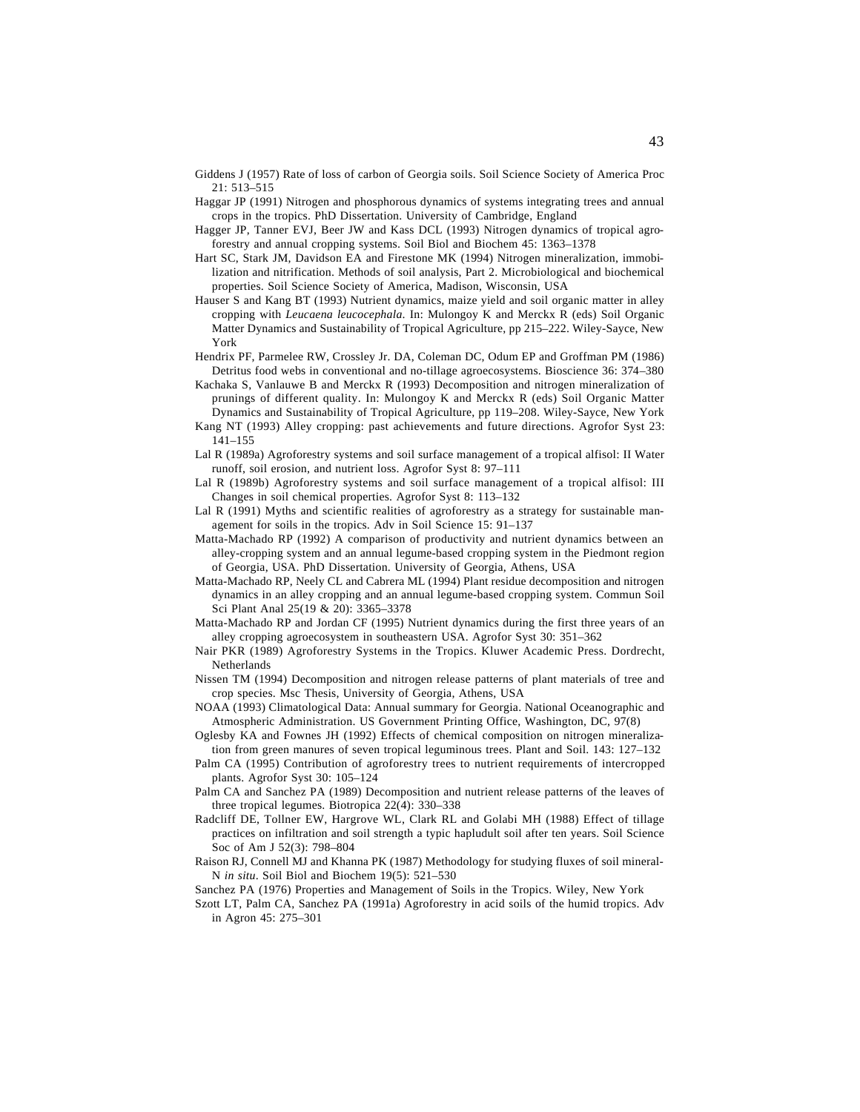- Giddens J (1957) Rate of loss of carbon of Georgia soils. Soil Science Society of America Proc 21: 513–515
- Haggar JP (1991) Nitrogen and phosphorous dynamics of systems integrating trees and annual crops in the tropics. PhD Dissertation. University of Cambridge, England
- Hagger JP, Tanner EVJ, Beer JW and Kass DCL (1993) Nitrogen dynamics of tropical agroforestry and annual cropping systems. Soil Biol and Biochem 45: 1363–1378
- Hart SC, Stark JM, Davidson EA and Firestone MK (1994) Nitrogen mineralization, immobilization and nitrification. Methods of soil analysis, Part 2. Microbiological and biochemical properties. Soil Science Society of America, Madison, Wisconsin, USA
- Hauser S and Kang BT (1993) Nutrient dynamics, maize yield and soil organic matter in alley cropping with *Leucaena leucocephala*. In: Mulongoy K and Merckx R (eds) Soil Organic Matter Dynamics and Sustainability of Tropical Agriculture, pp 215–222. Wiley-Sayce, New York
- Hendrix PF, Parmelee RW, Crossley Jr. DA, Coleman DC, Odum EP and Groffman PM (1986) Detritus food webs in conventional and no-tillage agroecosystems. Bioscience 36: 374–380
- Kachaka S, Vanlauwe B and Merckx R (1993) Decomposition and nitrogen mineralization of prunings of different quality. In: Mulongoy K and Merckx R (eds) Soil Organic Matter Dynamics and Sustainability of Tropical Agriculture, pp 119–208. Wiley-Sayce, New York
- Kang NT (1993) Alley cropping: past achievements and future directions. Agrofor Syst 23: 141–155
- Lal R (1989a) Agroforestry systems and soil surface management of a tropical alfisol: II Water runoff, soil erosion, and nutrient loss. Agrofor Syst 8: 97–111
- Lal R (1989b) Agroforestry systems and soil surface management of a tropical alfisol: III Changes in soil chemical properties. Agrofor Syst 8: 113–132
- Lal R (1991) Myths and scientific realities of agroforestry as a strategy for sustainable management for soils in the tropics. Adv in Soil Science 15: 91–137
- Matta-Machado RP (1992) A comparison of productivity and nutrient dynamics between an alley-cropping system and an annual legume-based cropping system in the Piedmont region of Georgia, USA. PhD Dissertation. University of Georgia, Athens, USA
- Matta-Machado RP, Neely CL and Cabrera ML (1994) Plant residue decomposition and nitrogen dynamics in an alley cropping and an annual legume-based cropping system. Commun Soil Sci Plant Anal 25(19 & 20): 3365–3378
- Matta-Machado RP and Jordan CF (1995) Nutrient dynamics during the first three years of an alley cropping agroecosystem in southeastern USA. Agrofor Syst 30: 351–362
- Nair PKR (1989) Agroforestry Systems in the Tropics. Kluwer Academic Press. Dordrecht, Netherlands
- Nissen TM (1994) Decomposition and nitrogen release patterns of plant materials of tree and crop species. Msc Thesis, University of Georgia, Athens, USA
- NOAA (1993) Climatological Data: Annual summary for Georgia. National Oceanographic and Atmospheric Administration. US Government Printing Office, Washington, DC, 97(8)
- Oglesby KA and Fownes JH (1992) Effects of chemical composition on nitrogen mineralization from green manures of seven tropical leguminous trees. Plant and Soil. 143: 127–132
- Palm CA (1995) Contribution of agroforestry trees to nutrient requirements of intercropped plants. Agrofor Syst 30: 105–124
- Palm CA and Sanchez PA (1989) Decomposition and nutrient release patterns of the leaves of three tropical legumes. Biotropica 22(4): 330–338
- Radcliff DE, Tollner EW, Hargrove WL, Clark RL and Golabi MH (1988) Effect of tillage practices on infiltration and soil strength a typic hapludult soil after ten years. Soil Science Soc of Am J 52(3): 798–804
- Raison RJ, Connell MJ and Khanna PK (1987) Methodology for studying fluxes of soil mineral-N *in situ*. Soil Biol and Biochem 19(5): 521–530

Sanchez PA (1976) Properties and Management of Soils in the Tropics. Wiley, New York

Szott LT, Palm CA, Sanchez PA (1991a) Agroforestry in acid soils of the humid tropics. Adv in Agron 45: 275–301